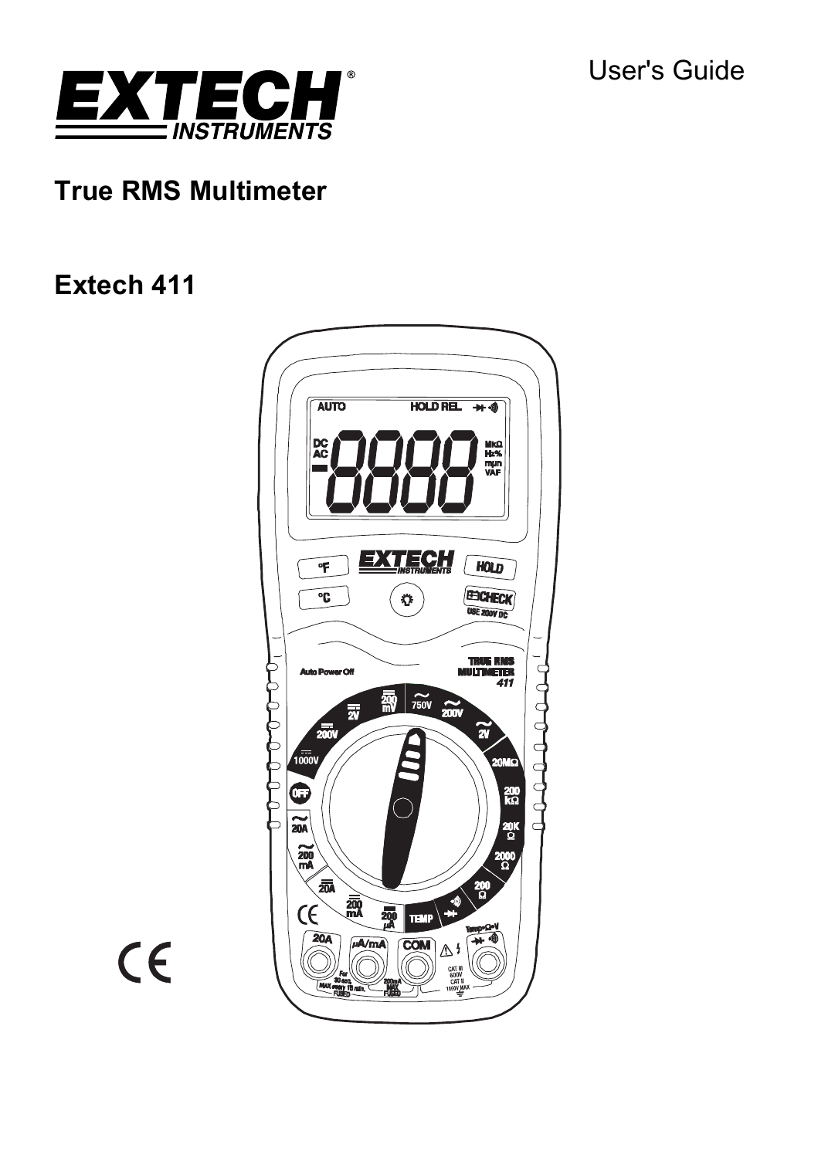User's Guide



# **True RMS Multimeter**

# **Extech 411**



 $C \in$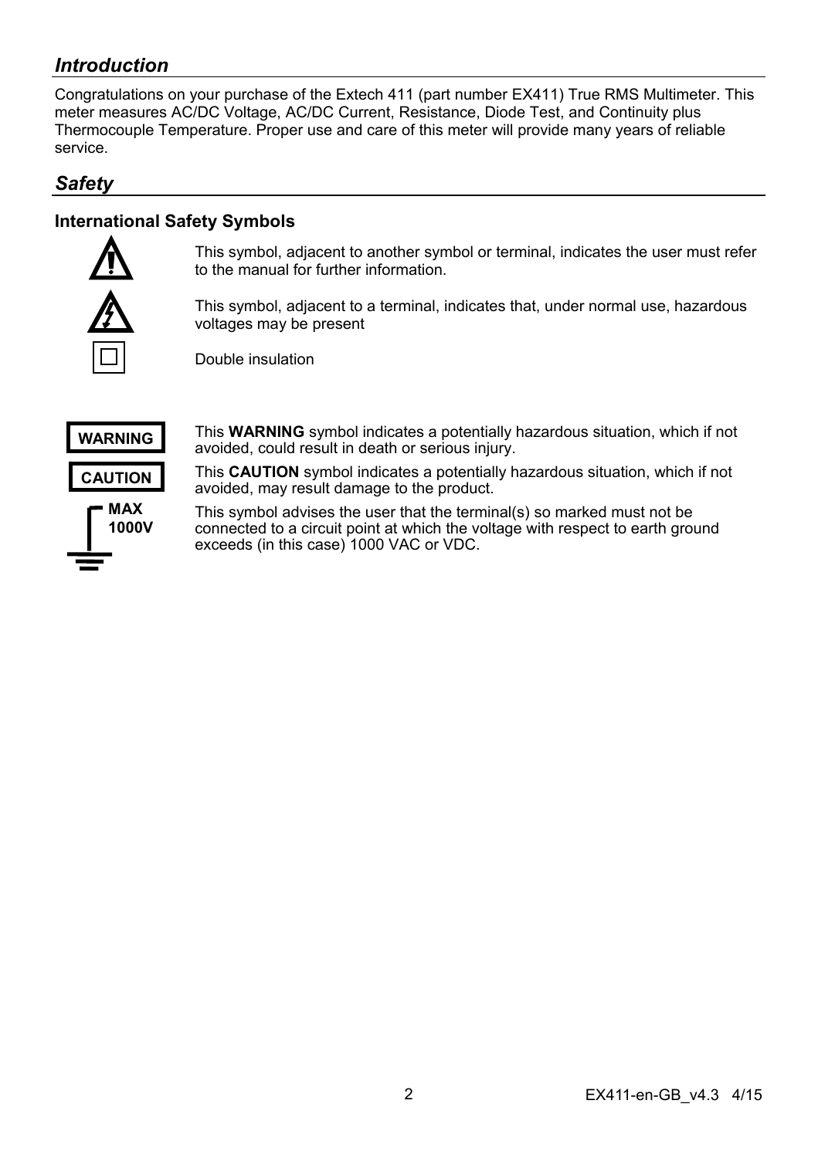# *Introduction*

Congratulations on your purchase of the Extech 411 (part number EX411) True RMS Multimeter. This meter measures AC/DC Voltage, AC/DC Current, Resistance, Diode Test, and Continuity plus Thermocouple Temperature. Proper use and care of this meter will provide many years of reliable service.

## *Safety*

## **International Safety Symbols**



This symbol, adjacent to another symbol or terminal, indicates the user must refer to the manual for further information.

This symbol, adjacent to a terminal, indicates that, under normal use, hazardous voltages may be present

Double insulation



This **WARNING** symbol indicates a potentially hazardous situation, which if not avoided, could result in death or serious injury.

This **CAUTION** symbol indicates a potentially hazardous situation, which if not avoided, may result damage to the product.

This symbol advises the user that the terminal(s) so marked must not be connected to a circuit point at which the voltage with respect to earth ground exceeds (in this case) 1000 VAC or VDC.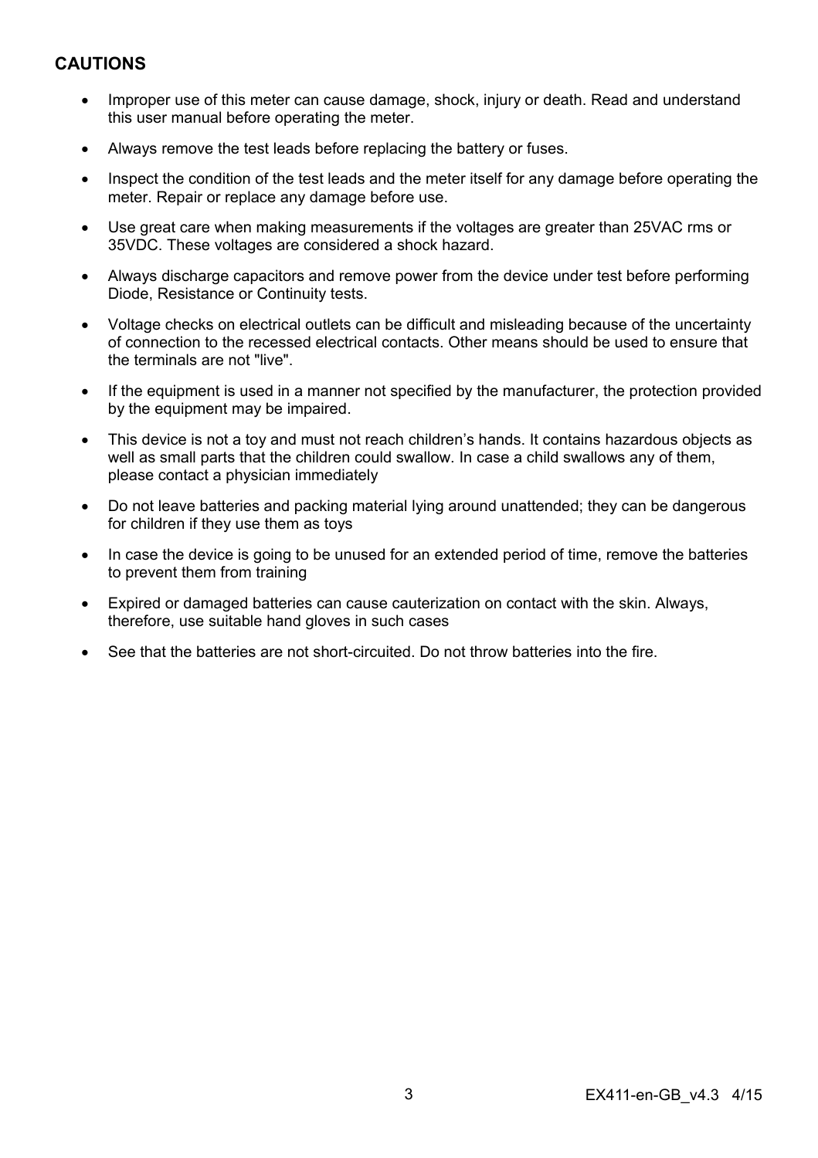### **CAUTIONS**

- Improper use of this meter can cause damage, shock, injury or death. Read and understand this user manual before operating the meter.
- Always remove the test leads before replacing the battery or fuses.
- Inspect the condition of the test leads and the meter itself for any damage before operating the meter. Repair or replace any damage before use.
- Use great care when making measurements if the voltages are greater than 25VAC rms or 35VDC. These voltages are considered a shock hazard.
- Always discharge capacitors and remove power from the device under test before performing Diode, Resistance or Continuity tests.
- Voltage checks on electrical outlets can be difficult and misleading because of the uncertainty of connection to the recessed electrical contacts. Other means should be used to ensure that the terminals are not "live".
- If the equipment is used in a manner not specified by the manufacturer, the protection provided by the equipment may be impaired.
- This device is not a toy and must not reach children's hands. It contains hazardous objects as well as small parts that the children could swallow. In case a child swallows any of them, please contact a physician immediately
- Do not leave batteries and packing material lying around unattended; they can be dangerous for children if they use them as toys
- In case the device is going to be unused for an extended period of time, remove the batteries to prevent them from training
- Expired or damaged batteries can cause cauterization on contact with the skin. Always, therefore, use suitable hand gloves in such cases
- See that the batteries are not short-circuited. Do not throw batteries into the fire.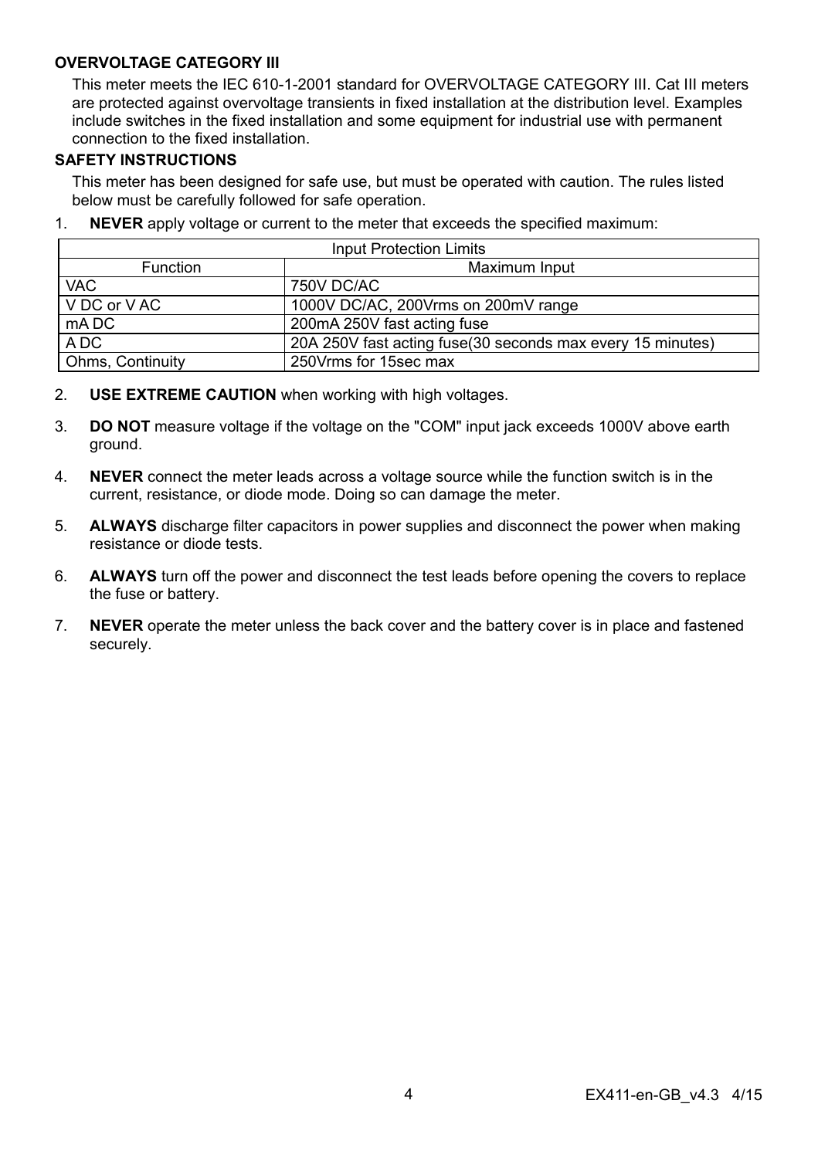#### **OVERVOLTAGE CATEGORY III**

This meter meets the IEC 610-1-2001 standard for OVERVOLTAGE CATEGORY III. Cat III meters are protected against overvoltage transients in fixed installation at the distribution level. Examples include switches in the fixed installation and some equipment for industrial use with permanent connection to the fixed installation.

#### **SAFETY INSTRUCTIONS**

This meter has been designed for safe use, but must be operated with caution. The rules listed below must be carefully followed for safe operation.

| <b>Input Protection Limits</b>   |                                                             |  |  |  |
|----------------------------------|-------------------------------------------------------------|--|--|--|
| Maximum Input<br><b>Function</b> |                                                             |  |  |  |
| <b>VAC</b>                       | 750V DC/AC                                                  |  |  |  |
| I V DC or V AC                   | 1000V DC/AC, 200Vrms on 200mV range                         |  |  |  |
| mA DC                            | 200mA 250V fast acting fuse                                 |  |  |  |
| A DC                             | 20A 250V fast acting fuse (30 seconds max every 15 minutes) |  |  |  |
| <b>Ohms, Continuity</b>          | 250 Vrms for 15 sec max                                     |  |  |  |

1. **NEVER** apply voltage or current to the meter that exceeds the specified maximum:

- 2. **USE EXTREME CAUTION** when working with high voltages.
- 3. **DO NOT** measure voltage if the voltage on the "COM" input jack exceeds 1000V above earth ground.
- 4. **NEVER** connect the meter leads across a voltage source while the function switch is in the current, resistance, or diode mode. Doing so can damage the meter.
- 5. **ALWAYS** discharge filter capacitors in power supplies and disconnect the power when making resistance or diode tests.
- 6. **ALWAYS** turn off the power and disconnect the test leads before opening the covers to replace the fuse or battery.
- 7. **NEVER** operate the meter unless the back cover and the battery cover is in place and fastened securely.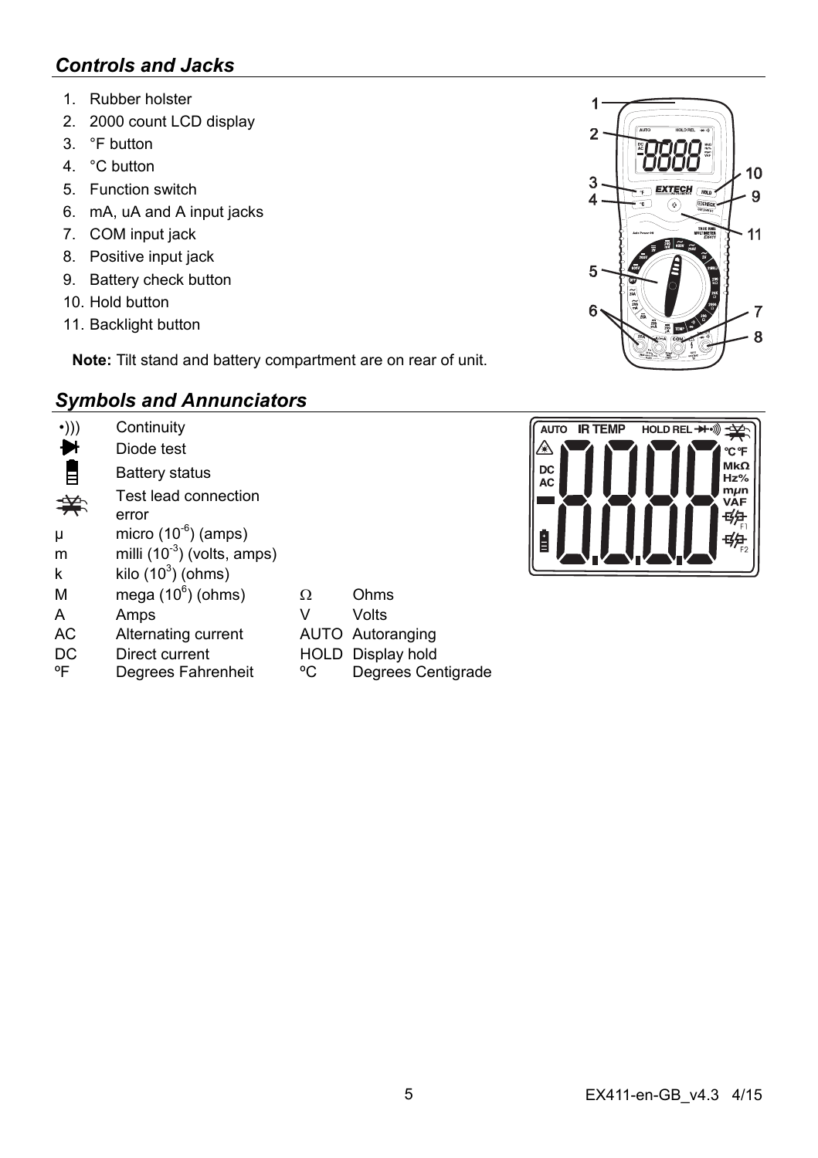# *Controls and Jacks*

- 1. Rubber holster
- 2. 2000 count LCD display
- 3. °F button
- 4 °C button
- 5. Function switch
- 6. mA, uA and A input jacks
- 7. COM input jack
- 8. Positive input jack
- 9. Battery check button
- 10. Hold button
- 11. Backlight button

**Note:** Tilt stand and battery compartment are on rear of unit.

# *Symbols and Annunciators*

| $\cdot$ ))) | Continuity<br>Diode test                |    |                          |
|-------------|-----------------------------------------|----|--------------------------|
|             | Battery status                          |    |                          |
|             | Test lead connection<br>error           |    |                          |
| μ           | micro $(10^{-6})$ (amps)                |    |                          |
| m           | milli (10 <sup>-3</sup> ) (volts, amps) |    |                          |
| k           | kilo $(10^3)$ (ohms)                    |    |                          |
| M           | mega $(10^6)$ (ohms)                    | Ω  | Ohms                     |
| A           | Amps                                    | v  | Volts                    |
| AC          | Alternating current                     |    | AUTO Autoranging         |
| DC          | Direct current                          |    | <b>HOLD</b> Display hold |
| °F          | Degrees Fahrenheit                      | °C | Degrees Centigrade       |



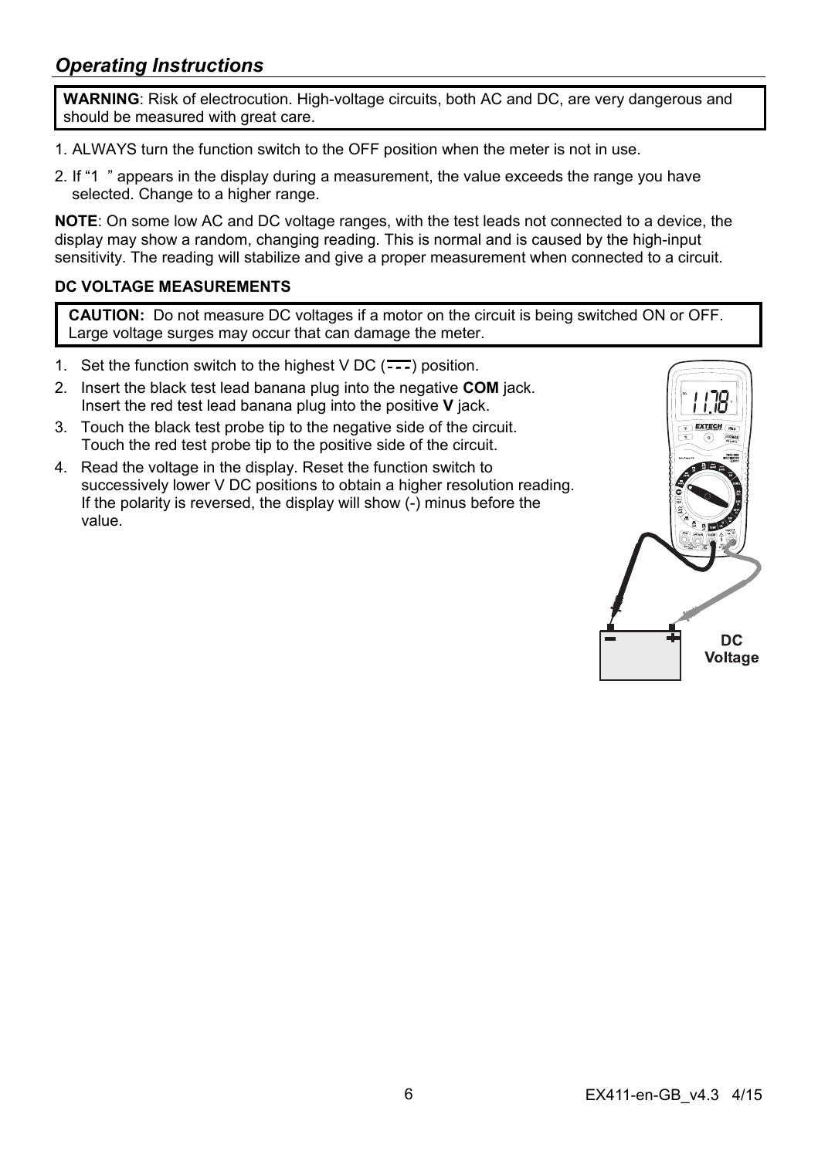# *Operating Instructions*

**WARNING**: Risk of electrocution. High-voltage circuits, both AC and DC, are very dangerous and should be measured with great care.

- 1. ALWAYS turn the function switch to the OFF position when the meter is not in use.
- 2. If "1 " appears in the display during a measurement, the value exceeds the range you have selected. Change to a higher range.

**NOTE**: On some low AC and DC voltage ranges, with the test leads not connected to a device, the display may show a random, changing reading. This is normal and is caused by the high-input sensitivity. The reading will stabilize and give a proper measurement when connected to a circuit.

#### **DC VOLTAGE MEASUREMENTS**

**CAUTION:** Do not measure DC voltages if a motor on the circuit is being switched ON or OFF. Large voltage surges may occur that can damage the meter.

- 1. Set the function switch to the highest  $VDC$  ( $\overline{\cdots}$ ) position.
- 2. Insert the black test lead banana plug into the negative **COM** jack. Insert the red test lead banana plug into the positive **V** jack.
- 3. Touch the black test probe tip to the negative side of the circuit. Touch the red test probe tip to the positive side of the circuit.
- 4. Read the voltage in the display. Reset the function switch to successively lower V DC positions to obtain a higher resolution reading. If the polarity is reversed, the display will show (-) minus before the value.

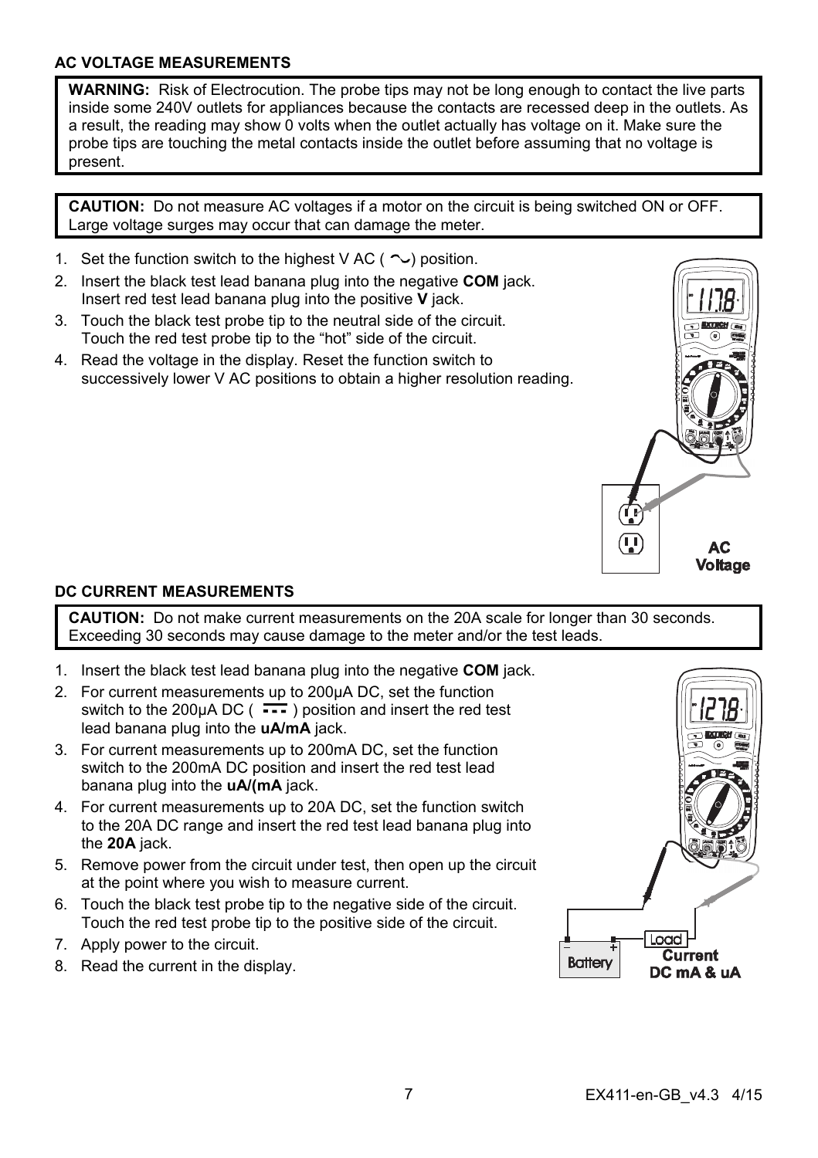#### **AC VOLTAGE MEASUREMENTS**

**WARNING:** Risk of Electrocution. The probe tips may not be long enough to contact the live parts inside some 240V outlets for appliances because the contacts are recessed deep in the outlets. As a result, the reading may show 0 volts when the outlet actually has voltage on it. Make sure the probe tips are touching the metal contacts inside the outlet before assuming that no voltage is present.

**CAUTION:** Do not measure AC voltages if a motor on the circuit is being switched ON or OFF. Large voltage surges may occur that can damage the meter.

- 1. Set the function switch to the highest V AC ( $\sim$ ) position.
- 2. Insert the black test lead banana plug into the negative **COM** jack. Insert red test lead banana plug into the positive **V** jack.
- 3. Touch the black test probe tip to the neutral side of the circuit. Touch the red test probe tip to the "hot" side of the circuit.
- 4. Read the voltage in the display. Reset the function switch to successively lower V AC positions to obtain a higher resolution reading.



#### **DC CURRENT MEASUREMENTS**

**CAUTION:** Do not make current measurements on the 20A scale for longer than 30 seconds. Exceeding 30 seconds may cause damage to the meter and/or the test leads.

- 1. Insert the black test lead banana plug into the negative **COM** jack.
- 2. For current measurements up to 200µA DC, set the function switch to the 200 $\mu$ A DC ( $\rightarrow$ ) position and insert the red test lead banana plug into the **uA/mA** jack.
- 3. For current measurements up to 200mA DC, set the function switch to the 200mA DC position and insert the red test lead banana plug into the **uA/(mA** jack.
- 4. For current measurements up to 20A DC, set the function switch to the 20A DC range and insert the red test lead banana plug into the **20A** jack.
- 5. Remove power from the circuit under test, then open up the circuit at the point where you wish to measure current.
- 6. Touch the black test probe tip to the negative side of the circuit. Touch the red test probe tip to the positive side of the circuit.
- 7. Apply power to the circuit.
- 8. Read the current in the display.

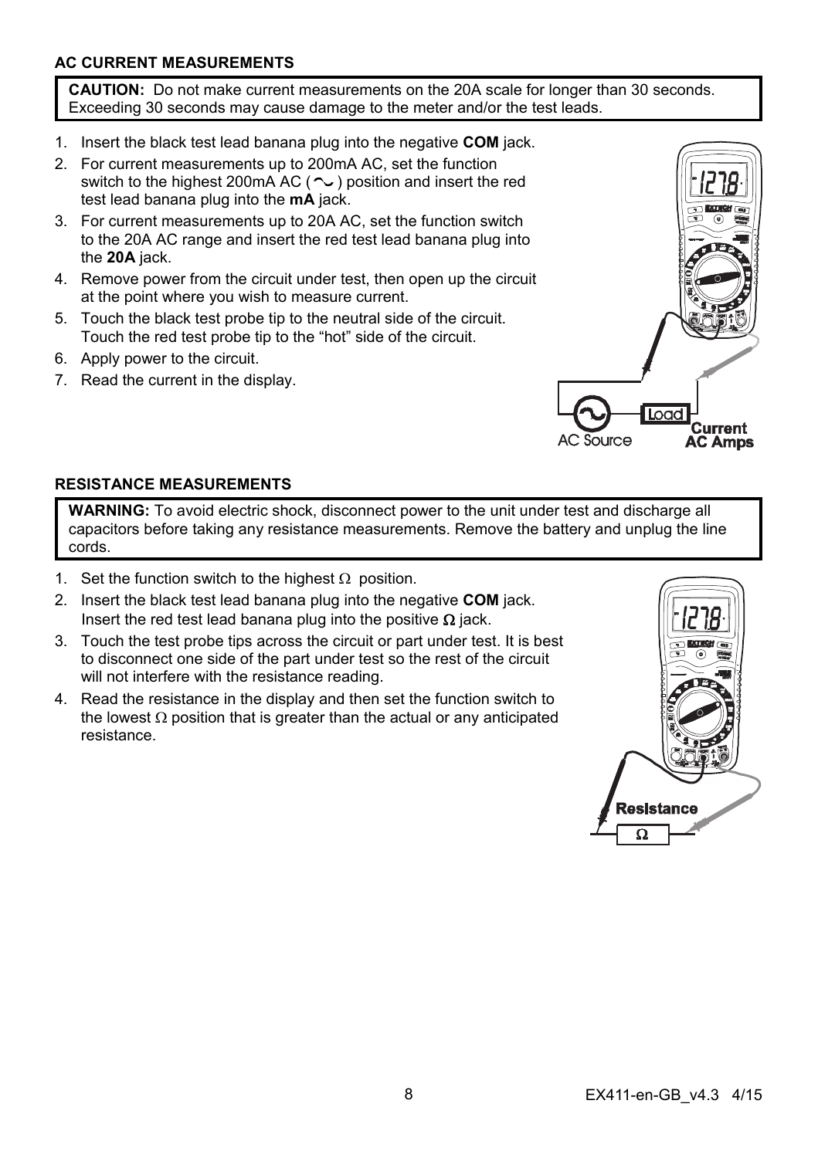#### **AC CURRENT MEASUREMENTS**

**CAUTION:** Do not make current measurements on the 20A scale for longer than 30 seconds. Exceeding 30 seconds may cause damage to the meter and/or the test leads.

- 1. Insert the black test lead banana plug into the negative **COM** jack.
- 2. For current measurements up to 200mA AC, set the function switch to the highest 200mA AC ( $\sim$ ) position and insert the red test lead banana plug into the **mA** jack.
- 3. For current measurements up to 20A AC, set the function switch to the 20A AC range and insert the red test lead banana plug into the **20A** jack.
- 4. Remove power from the circuit under test, then open up the circuit at the point where you wish to measure current.
- 5. Touch the black test probe tip to the neutral side of the circuit. Touch the red test probe tip to the "hot" side of the circuit.
- 6. Apply power to the circuit.
- 7. Read the current in the display.



#### **RESISTANCE MEASUREMENTS**

**WARNING:** To avoid electric shock, disconnect power to the unit under test and discharge all capacitors before taking any resistance measurements. Remove the battery and unplug the line cords.

- 1. Set the function switch to the highest  $\Omega$  position.
- 2. Insert the black test lead banana plug into the negative **COM** jack. Insert the red test lead banana plug into the positive  $\Omega$  jack.
- 3. Touch the test probe tips across the circuit or part under test. It is best to disconnect one side of the part under test so the rest of the circuit will not interfere with the resistance reading.
- 4. Read the resistance in the display and then set the function switch to the lowest  $\Omega$  position that is greater than the actual or any anticipated resistance.

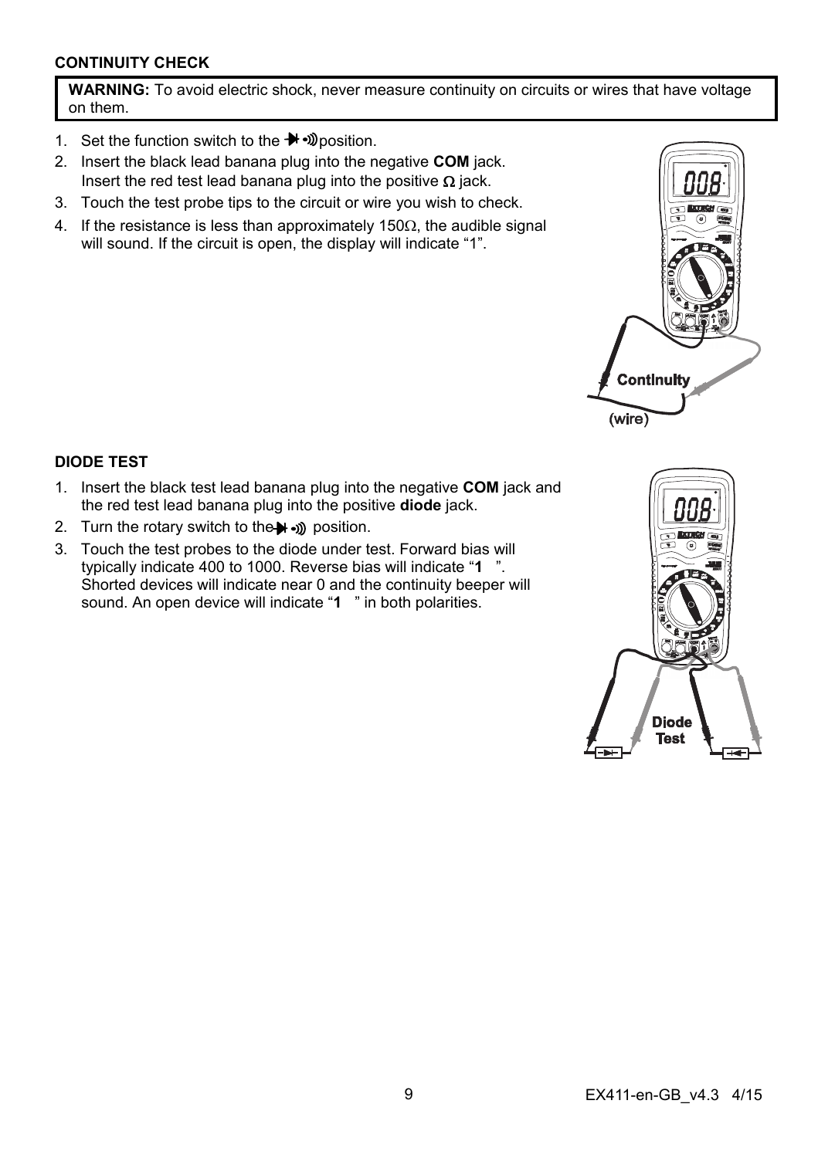#### **CONTINUITY CHECK**

**WARNING:** To avoid electric shock, never measure continuity on circuits or wires that have voltage on them.

- 1. Set the function switch to the  $\rightarrow$   $\gg$  position.
- 2. Insert the black lead banana plug into the negative **COM** jack. Insert the red test lead banana plug into the positive  $\Omega$  jack.
- 3. Touch the test probe tips to the circuit or wire you wish to check.
- 4. If the resistance is less than approximately 150 $\Omega$ , the audible signal will sound. If the circuit is open, the display will indicate "1".



#### **DIODE TEST**

- 1. Insert the black test lead banana plug into the negative **COM** jack and the red test lead banana plug into the positive **diode** jack.
- 2. Turn the rotary switch to the  $\rightarrow$   $\rightarrow$  position.
- 3. Touch the test probes to the diode under test. Forward bias will typically indicate 400 to 1000. Reverse bias will indicate "**1** ". Shorted devices will indicate near 0 and the continuity beeper will sound. An open device will indicate "**1** " in both polarities.

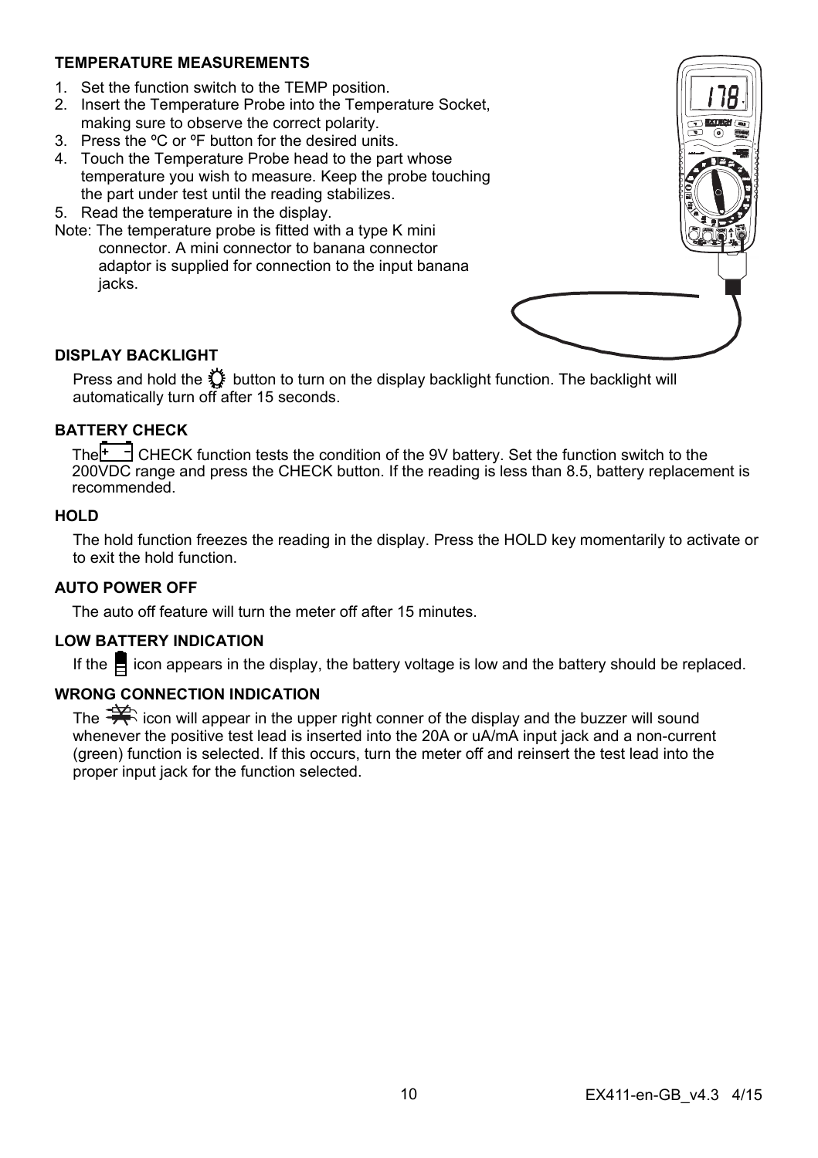#### **TEMPERATURE MEASUREMENTS**

- 1. Set the function switch to the TEMP position.
- 2. Insert the Temperature Probe into the Temperature Socket, making sure to observe the correct polarity.
- 3. Press the ºC or ºF button for the desired units.
- 4. Touch the Temperature Probe head to the part whose temperature you wish to measure. Keep the probe touching the part under test until the reading stabilizes.
- 5. Read the temperature in the display.
- Note: The temperature probe is fitted with a type K mini connector. A mini connector to banana connector adaptor is supplied for connection to the input banana jacks.



### **DISPLAY BACKLIGHT**

Press and hold the  $\bigcirc$  button to turn on the display backlight function. The backlight will automatically turn off after 15 seconds.

#### **BATTERY CHECK**

The  $\overline{f}$   $\exists$  CHECK function tests the condition of the 9V battery. Set the function switch to the 200VDC range and press the CHECK button. If the reading is less than 8.5, battery replacement is recommended.

#### **HOLD**

The hold function freezes the reading in the display. Press the HOLD key momentarily to activate or to exit the hold function.

#### **AUTO POWER OFF**

The auto off feature will turn the meter off after 15 minutes.

#### **LOW BATTERY INDICATION**

If the  $\Box$  icon appears in the display, the battery voltage is low and the battery should be replaced.

#### **WRONG CONNECTION INDICATION**

The  $\mathcal{F}$  icon will appear in the upper right conner of the display and the buzzer will sound whenever the positive test lead is inserted into the 20A or uA/mA input jack and a non-current (green) function is selected. If this occurs, turn the meter off and reinsert the test lead into the proper input jack for the function selected.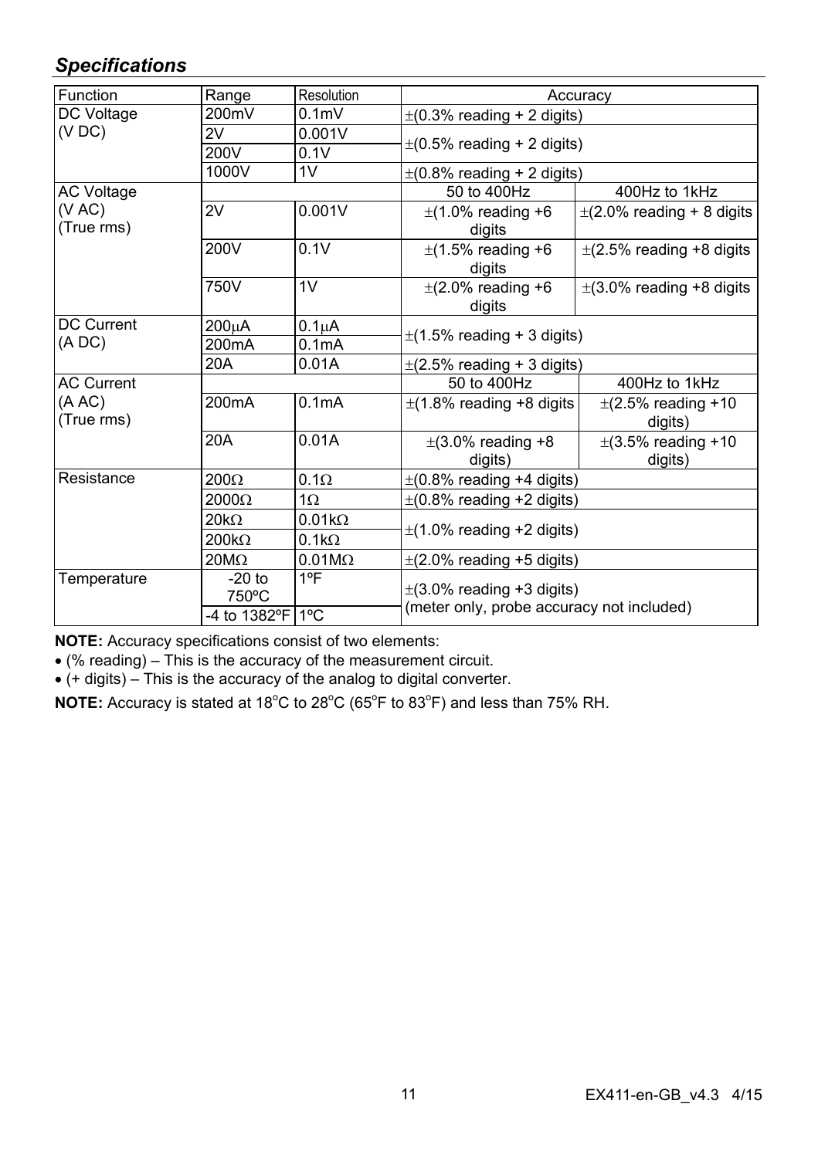# *Specifications*

| Function             | Range                                 | Resolution         | Accuracy                                                                    |                                    |  |
|----------------------|---------------------------------------|--------------------|-----------------------------------------------------------------------------|------------------------------------|--|
| DC Voltage           | 200mV                                 | 0.1 <sub>m</sub>   | $\pm$ (0.3% reading + 2 digits)                                             |                                    |  |
| (VDC)                | 2V                                    | 0.001V             | $\pm$ (0.5% reading + 2 digits)                                             |                                    |  |
|                      | 200V                                  | 0.1V               |                                                                             |                                    |  |
|                      | 1000V                                 | 1 <sub>V</sub>     | $\pm$ (0.8% reading + 2 digits)                                             |                                    |  |
| <b>AC Voltage</b>    |                                       |                    | 50 to 400Hz                                                                 | 400Hz to 1kHz                      |  |
| (VAC)<br>(True rms)  | 2V                                    | 0.001V             | $\pm$ (1.0% reading +6<br>digits                                            | $\pm$ (2.0% reading + 8 digits     |  |
|                      | 200V                                  | 0.1V               | $\pm$ (1.5% reading +6<br>digits                                            | $\pm$ (2.5% reading +8 digits      |  |
|                      | 750V                                  | 1V                 | $\pm$ (2.0% reading +6<br>digits                                            | $\pm$ (3.0% reading +8 digits      |  |
| <b>DC Current</b>    | 200uA                                 | $0.1\muA$          |                                                                             |                                    |  |
| (ADC)                | 200 <sub>m</sub> A                    | 0.1 <sub>m</sub> A | $\pm$ (1.5% reading + 3 digits)                                             |                                    |  |
|                      | 20A                                   | 0.01A              | $\pm$ (2.5% reading + 3 digits)                                             |                                    |  |
| <b>AC Current</b>    |                                       |                    | 50 to 400Hz                                                                 | 400Hz to 1kHz                      |  |
| (A AC)<br>(True rms) | 200 <sub>m</sub> A                    | 0.1 <sub>m</sub> A | $\pm$ (1.8% reading +8 digits                                               | $\pm$ (2.5% reading +10<br>digits) |  |
|                      | 20A                                   | 0.01A              | $\pm$ (3.0% reading +8<br>digits)                                           | $\pm$ (3.5% reading +10<br>digits) |  |
| Resistance           | $200\Omega$                           | $0.1\Omega$        | $\pm$ (0.8% reading +4 digits)                                              |                                    |  |
|                      | $2000\Omega$                          | $1\Omega$          | $\pm$ (0.8% reading +2 digits)                                              |                                    |  |
|                      | $20k\Omega$                           | $0.01k\Omega$      |                                                                             |                                    |  |
|                      | $200k\Omega$                          | $0.1k\Omega$       | $\pm$ (1.0% reading +2 digits)                                              |                                    |  |
|                      | $20M\Omega$                           | $0.01M\Omega$      | $\pm$ (2.0% reading +5 digits)                                              |                                    |  |
| Temperature          | $-20$ to<br>750°C<br>-4 to 1382°F 1°C | 1ºF                | $\pm$ (3.0% reading +3 digits)<br>(meter only, probe accuracy not included) |                                    |  |
|                      |                                       |                    |                                                                             |                                    |  |

**NOTE:** Accuracy specifications consist of two elements:

(% reading) – This is the accuracy of the measurement circuit.

 $\bullet$  (+ digits) – This is the accuracy of the analog to digital converter.

NOTE: Accuracy is stated at 18<sup>°</sup>C to 28<sup>°</sup>C (65<sup>°</sup>F to 83<sup>°</sup>F) and less than 75% RH.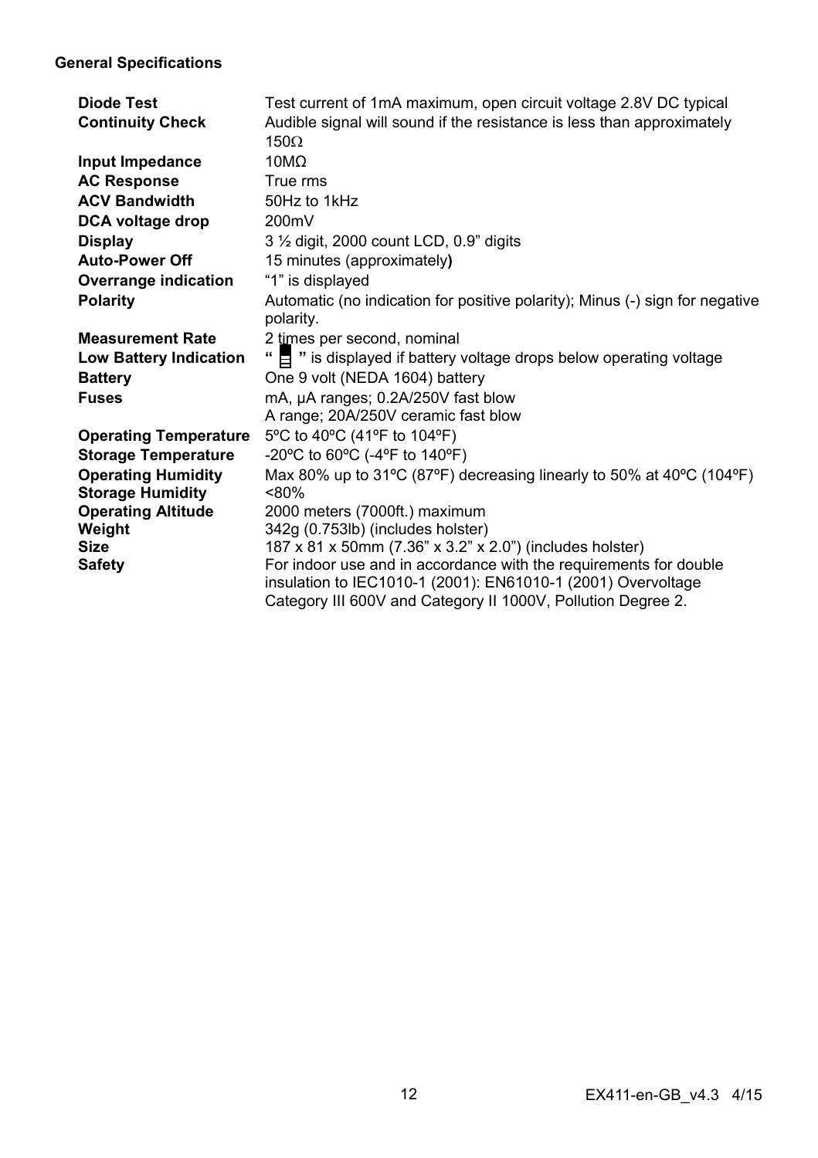## **General Specifications**

| Diode Test<br><b>Continuity Check</b>                | Test current of 1mA maximum, open circuit voltage 2.8V DC typical<br>Audible signal will sound if the resistance is less than approximately<br>$150\Omega$                                        |
|------------------------------------------------------|---------------------------------------------------------------------------------------------------------------------------------------------------------------------------------------------------|
| Input Impedance                                      | $10M\Omega$                                                                                                                                                                                       |
| <b>AC Response</b>                                   | True rms                                                                                                                                                                                          |
| <b>ACV Bandwidth</b>                                 | 50Hz to 1kHz                                                                                                                                                                                      |
| DCA voltage drop                                     | 200mV                                                                                                                                                                                             |
| <b>Display</b>                                       | 3 1/2 digit, 2000 count LCD, 0.9" digits                                                                                                                                                          |
| <b>Auto-Power Off</b>                                | 15 minutes (approximately)                                                                                                                                                                        |
| Overrange indication                                 | "1" is displayed                                                                                                                                                                                  |
| Polarity                                             | Automatic (no indication for positive polarity); Minus (-) sign for negative<br>polarity.                                                                                                         |
| <b>Measurement Rate</b>                              | 2 times per second, nominal                                                                                                                                                                       |
| <b>Low Battery Indication</b>                        | " E " is displayed if battery voltage drops below operating voltage                                                                                                                               |
| <b>Battery</b>                                       | One 9 volt (NEDA 1604) battery                                                                                                                                                                    |
| <b>Fuses</b>                                         | mA, µA ranges; 0.2A/250V fast blow                                                                                                                                                                |
|                                                      | A range; 20A/250V ceramic fast blow                                                                                                                                                               |
| <b>Operating Temperature</b>                         | 5°C to 40°C (41°F to 104°F)                                                                                                                                                                       |
| <b>Storage Temperature</b>                           | -20°C to 60°C (-4°F to 140°F)                                                                                                                                                                     |
| <b>Operating Humidity</b><br><b>Storage Humidity</b> | Max 80% up to 31°C (87°F) decreasing linearly to 50% at 40°C (104°F)<br>$< 80\%$                                                                                                                  |
| <b>Operating Altitude</b>                            | 2000 meters (7000ft.) maximum                                                                                                                                                                     |
| Weight                                               | 342g (0.753lb) (includes holster)                                                                                                                                                                 |
| <b>Size</b>                                          | 187 x 81 x 50mm (7.36" x 3.2" x 2.0") (includes holster)                                                                                                                                          |
| <b>Safety</b>                                        | For indoor use and in accordance with the requirements for double<br>insulation to IEC1010-1 (2001): EN61010-1 (2001) Overvoltage<br>Category III 600V and Category II 1000V, Pollution Degree 2. |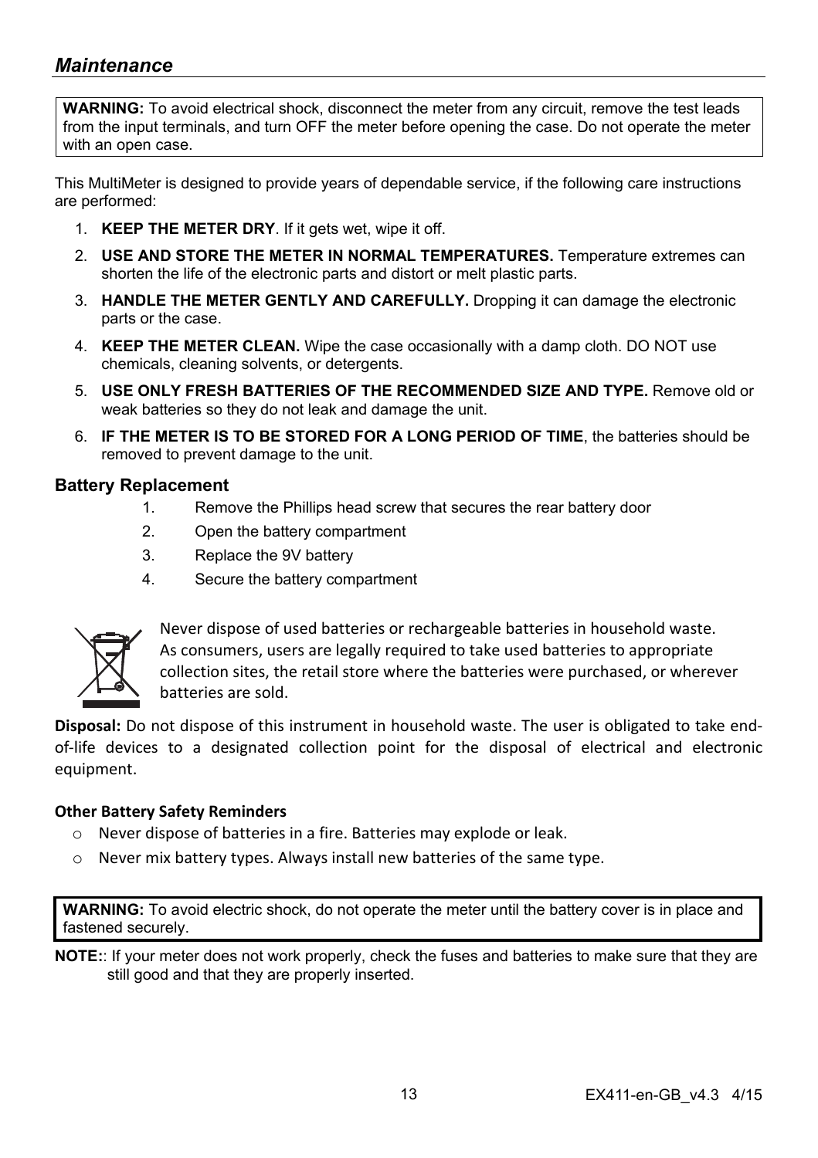## *Maintenance*

**WARNING:** To avoid electrical shock, disconnect the meter from any circuit, remove the test leads from the input terminals, and turn OFF the meter before opening the case. Do not operate the meter with an open case.

This MultiMeter is designed to provide years of dependable service, if the following care instructions are performed:

- 1. **KEEP THE METER DRY**. If it gets wet, wipe it off.
- 2. **USE AND STORE THE METER IN NORMAL TEMPERATURES.** Temperature extremes can shorten the life of the electronic parts and distort or melt plastic parts.
- 3. **HANDLE THE METER GENTLY AND CAREFULLY.** Dropping it can damage the electronic parts or the case.
- 4. **KEEP THE METER CLEAN.** Wipe the case occasionally with a damp cloth. DO NOT use chemicals, cleaning solvents, or detergents.
- 5. **USE ONLY FRESH BATTERIES OF THE RECOMMENDED SIZE AND TYPE.** Remove old or weak batteries so they do not leak and damage the unit.
- 6. **IF THE METER IS TO BE STORED FOR A LONG PERIOD OF TIME**, the batteries should be removed to prevent damage to the unit.

#### **Battery Replacement**

- 1. Remove the Phillips head screw that secures the rear battery door
- 2. Open the battery compartment
- 3. Replace the 9V battery
- 4. Secure the battery compartment



Never dispose of used batteries or rechargeable batteries in household waste. As consumers, users are legally required to take used batteries to appropriate collection sites, the retail store where the batteries were purchased, or wherever batteries are sold.

**Disposal:** Do not dispose of this instrument in household waste. The user is obligated to take end‐ of‐life devices to a designated collection point for the disposal of electrical and electronic equipment.

#### **Other Battery Safety Reminders**

- o Never dispose of batteries in a fire. Batteries may explode or leak.
- o Never mix battery types. Always install new batteries of the same type.

**WARNING:** To avoid electric shock, do not operate the meter until the battery cover is in place and fastened securely.

**NOTE:**: If your meter does not work properly, check the fuses and batteries to make sure that they are still good and that they are properly inserted.